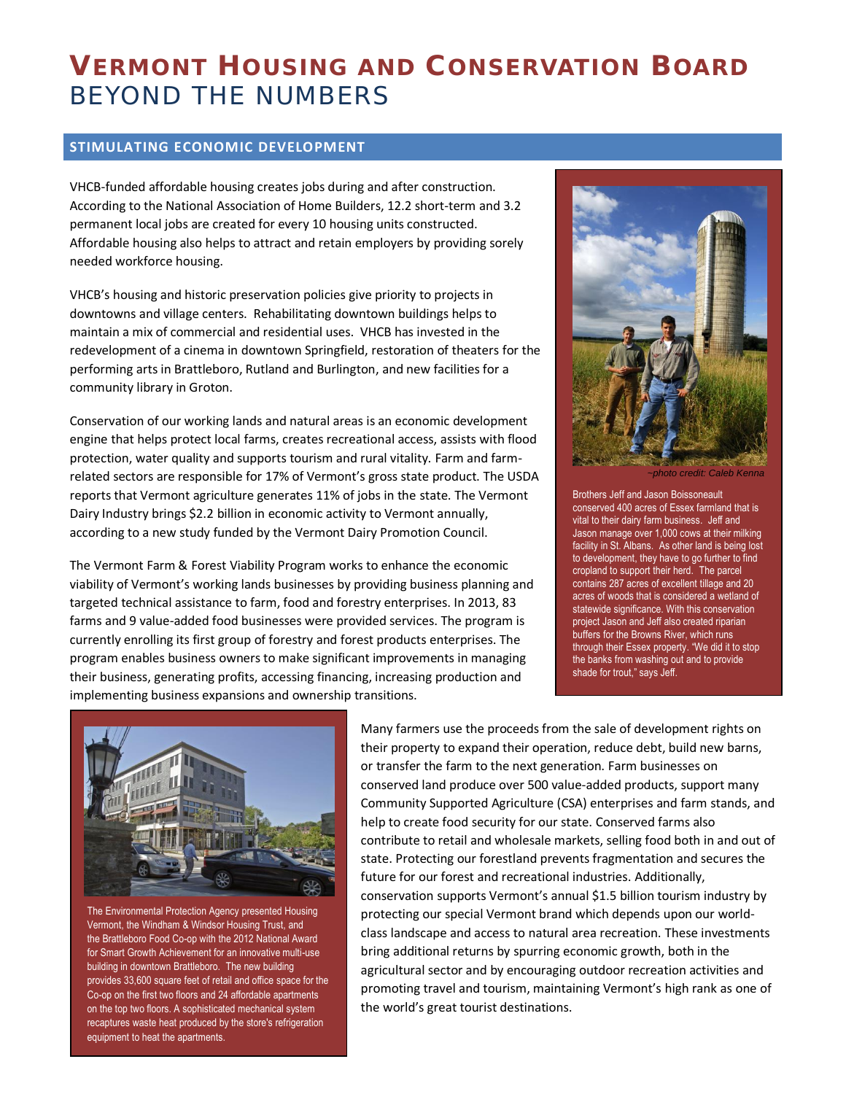# **VERMONT HOUSING AND CONSERVATION BOARD** BEYOND THE NUMBERS

## **STIMULATING ECONOMIC DEVELOPMENT**

VHCB-funded affordable housing creates jobs during and after construction. According to the National Association of Home Builders, 12.2 short-term and 3.2 permanent local jobs are created for every 10 housing units constructed. Affordable housing also helps to attract and retain employers by providing sorely needed workforce housing.

VHCB's housing and historic preservation policies give priority to projects in downtowns and village centers. Rehabilitating downtown buildings helps to maintain a mix of commercial and residential uses. VHCB has invested in the redevelopment of a cinema in downtown Springfield, restoration of theaters for the performing arts in Brattleboro, Rutland and Burlington, and new facilities for a community library in Groton.

Conservation of our working lands and natural areas is an economic development engine that helps protect local farms, creates recreational access, assists with flood protection, water quality and supports tourism and rural vitality. Farm and farmrelated sectors are responsible for 17% of Vermont's gross state product. The USDA reports that Vermont agriculture generates 11% of jobs in the state. The Vermont Dairy Industry brings \$2.2 billion in economic activity to Vermont annually, according to a new study funded by the Vermont Dairy Promotion Council.

The Vermont Farm & Forest Viability Program works to enhance the economic viability of Vermont's working lands businesses by providing business planning and targeted technical assistance to farm, food and forestry enterprises. In 2013, 83 farms and 9 value-added food businesses were provided services. The program is currently enrolling its first group of forestry and forest products enterprises. The program enables business owners to make significant improvements in managing their business, generating profits, accessing financing, increasing production and implementing business expansions and ownership transitions.



*~photo credit: Caleb Kenna*

Brothers Jeff and Jason Boissoneault conserved 400 acres of Essex farmland that is vital to their dairy farm business. Jeff and Jason manage over 1,000 cows at their milking facility in St. Albans. As other land is being lost to development, they have to go further to find cropland to support their herd. The parcel contains 287 acres of excellent tillage and 20 acres of woods that is considered a wetland of statewide significance. With this conservation project Jason and Jeff also created riparian buffers for the Browns River, which runs through their Essex property. "We did it to stop the banks from washing out and to provide shade for trout," says Jeff.



The Environmental Protection Agency presented Housing Vermont, th[e Windham & Windsor Housing Trust,](http://r20.rs6.net/tn.jsp?e=001DYWXx7z7k56zwoqSmqgzjXyJ2wKiDJTGuHxBoNqxoG4P-m0ryj4VqnwS1QPD1gfrNZ60NlYY_yXxn1C15McqVeXPbvuqcRv34JtwwU2jwo4=) and the [Brattleboro Food Co-op](http://r20.rs6.net/tn.jsp?e=001DYWXx7z7k56zwoqSmqgzjXyJ2wKiDJTGuHxBoNqxoG4P-m0ryj4VqnwS1QPD1gfrNZ60NlYY_yXxn1C15McqVQ2No_Sx52wuiPosChIyyaVYP1JpmYVj7XoV_I1vAijF) with the 2012 National Award for Smart Growth Achievement for an innovative multi-use building in downtown Brattleboro. The new building provides 33,600 square feet of retail and office space for the Co-op on the first two floors and 24 affordable apartments on the top two floors. A sophisticated mechanical system recaptures waste heat produced by the store's refrigeration equipment to heat the apartments.

Many farmers use the proceeds from the sale of development rights on their property to expand their operation, reduce debt, build new barns, or transfer the farm to the next generation. Farm businesses on conserved land produce over 500 value-added products, support many Community Supported Agriculture (CSA) enterprises and farm stands, and help to create food security for our state. Conserved farms also contribute to retail and wholesale markets, selling food both in and out of state. Protecting our forestland prevents fragmentation and secures the future for our forest and recreational industries. Additionally, conservation supports Vermont's annual \$1.5 billion tourism industry by protecting our special Vermont brand which depends upon our worldclass landscape and access to natural area recreation. These investments bring additional returns by spurring economic growth, both in the agricultural sector and by encouraging outdoor recreation activities and promoting travel and tourism, maintaining Vermont's high rank as one of the world's great tourist destinations.